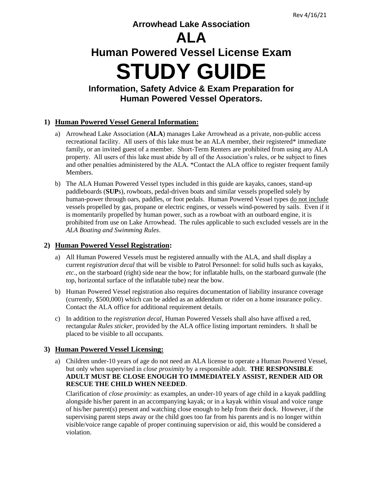# **Arrowhead Lake Association**

# **ALA**

# **Human Powered Vessel License Exam STUDY GUIDE**

**Information, Safety Advice & Exam Preparation for Human Powered Vessel Operators.**

# **1) Human Powered Vessel General Information:**

- a) Arrowhead Lake Association (**ALA**) manages Lake Arrowhead as a private, non-public access recreational facility. All users of this lake must be an ALA member, their registered\* immediate family, or an invited guest of a member. Short-Term Renters are prohibited from using any ALA property. All users of this lake must abide by all of the Association's rules, or be subject to fines and other penalties administered by the ALA. \*Contact the ALA office to register frequent family Members.
- b) The ALA Human Powered Vessel types included in this guide are kayaks, canoes, stand-up paddleboards (**SUP**s), rowboats, pedal-driven boats and similar vessels propelled solely by human-power through oars, paddles, or foot pedals. Human Powered Vessel types do not include vessels propelled by gas, propane or electric engines, or vessels wind-powered by sails. Even if it is momentarily propelled by human power, such as a rowboat with an outboard engine, it is prohibited from use on Lake Arrowhead. The rules applicable to such excluded vessels are in the *ALA Boating and Swimming Rules*.

# **2) Human Powered Vessel Registration:**

- a) All Human Powered Vessels must be registered annually with the ALA, and shall display a current *registration decal* that will be visible to Patrol Personnel: for solid hulls such as kayaks, *etc*., on the starboard (right) side near the bow; for inflatable hulls, on the starboard gunwale (the top, horizontal surface of the inflatable tube) near the bow.
- b) Human Powered Vessel registration also requires documentation of liability insurance coverage (currently, \$500,000) which can be added as an addendum or rider on a home insurance policy. Contact the ALA office for additional requirement details.
- c) In addition to the *registration decal*, Human Powered Vessels shall also have affixed a red, rectangular *Rules sticker*, provided by the ALA office listing important reminders. It shall be placed to be visible to all occupants.

# **3) Human Powered Vessel Licensing:**

a) Children under-10 years of age do not need an ALA license to operate a Human Powered Vessel, but only when supervised in *close proximity* by a responsible adult. **THE RESPONSIBLE ADULT MUST BE CLOSE ENOUGH TO IMMEDIATELY ASSIST, RENDER AID OR RESCUE THE CHILD WHEN NEEDED**.

Clarification of *close proximity*: as examples, an under-10 years of age child in a kayak paddling alongside his/her parent in an accompanying kayak; or in a kayak within visual and voice range of his/her parent(s) present and watching close enough to help from their dock. However, if the supervising parent steps away or the child goes too far from his parents and is no longer within visible/voice range capable of proper continuing supervision or aid, this would be considered a violation.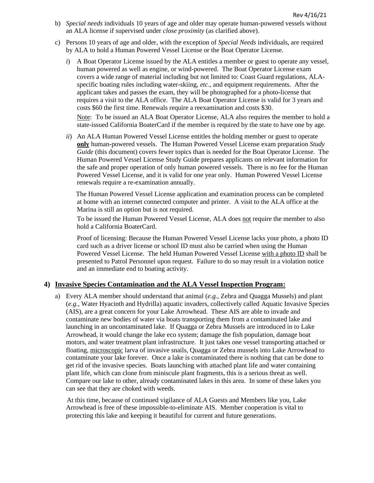- b) *Special needs* individuals 10 years of age and older may operate human-powered vessels without an ALA license if supervised under *close proximity* (as clarified above).
- c) Persons 10 years of age and older, with the exception of *Special Needs* individuals, are required by ALA to hold a Human Powered Vessel License or the Boat Operator License.
	- *i*) A Boat Operator License issued by the ALA entitles a member or guest to operate any vessel, human powered as well as engine, or wind-powered. The Boat Operator License exam covers a wide range of material including but not limited to: Coast Guard regulations, ALAspecific boating rules including water-skiing, *etc*., and equipment requirements. After the applicant takes and passes the exam, they will be photographed for a photo-license that requires a visit to the ALA office. The ALA Boat Operator License is valid for 3 years and costs \$60 the first time. Renewals require a reexamination and costs \$30.

Note: To be issued an ALA Boat Operator License, ALA also requires the member to hold a state-issued California BoaterCard if the member is required by the state to have one by age.

*ii*) An ALA Human Powered Vessel License entitles the holding member or guest to operate **only** human-powered vessels. The Human Powered Vessel License exam preparation *Study Guide* (this document) covers fewer topics than is needed for the Boat Operator License. The Human Powered Vessel License Study Guide prepares applicants on relevant information for the safe and proper operation of only human powered vessels. There is no fee for the Human Powered Vessel License, and it is valid for one year only. Human Powered Vessel License renewals require a re-examination annually.

 The Human Powered Vessel License application and examination process can be completed at home with an internet connected computer and printer. A visit to the ALA office at the Marina is still an option but is not required.

To be issued the Human Powered Vessel License, ALA does not require the member to also hold a California BoaterCard.

Proof of licensing: Because the Human Powered Vessel License lacks your photo, a photo ID card such as a driver license or school ID must also be carried when using the Human Powered Vessel License. The held Human Powered Vessel License with a photo ID shall be presented to Patrol Personnel upon request. Failure to do so may result in a violation notice and an immediate end to boating activity.

#### **4) Invasive Species Contamination and the ALA Vessel Inspection Program:**

a) Every ALA member should understand that animal (*e.g.*, Zebra and Quagga Mussels) and plant (*e.g.*, Water Hyacinth and Hydrilla) aquatic invaders, collectively called Aquatic Invasive Species (AIS), are a great concern for your Lake Arrowhead. These AIS are able to invade and contaminate new bodies of water via boats transporting them from a contaminated lake and launching in an uncontaminated lake. If Quagga or Zebra Mussels are introduced in to Lake Arrowhead, it would change the lake eco system; damage the fish population, damage boat motors, and water treatment plant infrastructure. It just takes one vessel transporting attached or floating, microscopic larva of invasive snails, Quagga or Zebra mussels into Lake Arrowhead to contaminate your lake forever. Once a lake is contaminated there is nothing that can be done to get rid of the invasive species. Boats launching with attached plant life and water containing plant life, which can clone from miniscule plant fragments, this is a serious threat as well. Compare our lake to other, already contaminated lakes in this area. In some of these lakes you can see that they are choked with weeds.

 At this time, because of continued vigilance of ALA Guests and Members like you, Lake Arrowhead is free of these impossible-to-eliminate AIS. Member cooperation is vital to protecting this lake and keeping it beautiful for current and future generations.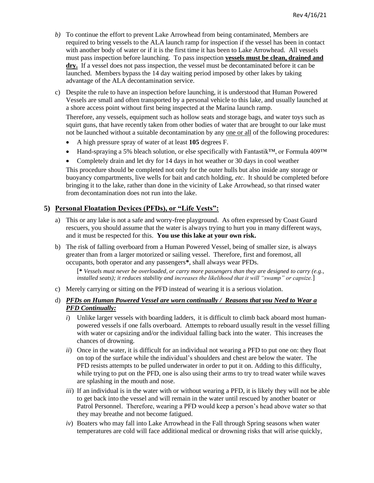- *b)* To continue the effort to prevent Lake Arrowhead from being contaminated, Members are required to bring vessels to the ALA launch ramp for inspection if the vessel has been in contact with another body of water or if it is the first time it has been to Lake Arrowhead. All vessels must pass inspection before launching. To pass inspection **vessels must be clean, drained and dry.** If a vessel does not pass inspection, the vessel must be decontaminated before it can be launched. Members bypass the 14 day waiting period imposed by other lakes by taking advantage of the ALA decontamination service.
- c) Despite the rule to have an inspection before launching, it is understood that Human Powered Vessels are small and often transported by a personal vehicle to this lake, and usually launched at a shore access point without first being inspected at the Marina launch ramp.

Therefore, any vessels, equipment such as hollow seats and storage bags, and water toys such as squirt guns, that have recently taken from other bodies of water that are brought to our lake must not be launched without a suitable decontamination by any one or all of the following procedures:

- A high pressure spray of water of at least **105** degrees F.
- Hand-spraying a 5% bleach solution, or else specifically with Fantastik<sup>™</sup>, or Formula 409™
- Completely drain and let dry for 14 days in hot weather or 30 days in cool weather

This procedure should be completed not only for the outer hulls but also inside any storage or buoyancy compartments, live wells for bait and catch holding, *etc*. It should be completed before bringing it to the lake, rather than done in the vicinity of Lake Arrowhead, so that rinsed water from decontamination does not run into the lake.

### **5) Personal Floatation Devices (PFDs), or "Life Vests":**

- a) This or any lake is not a safe and worry-free playground. As often expressed by Coast Guard rescuers, you should assume that the water is always trying to hurt you in many different ways, and it must be respected for this. **You use this lake at your own risk.**
- b) The risk of falling overboard from a Human Powered Vessel, being of smaller size, is always greater than from a larger motorized or sailing vessel. Therefore, first and foremost, all occupants, both operator and any passengers**\***, shall always wear PFDs.

[**\*** *Vessels must never be overloaded, or carry more passengers than they are designed to carry (e.g., installed seats); it reduces stability and increases the likelihood that it will "swamp" or capsize.*]

- c) Merely carrying or sitting on the PFD instead of wearing it is a serious violation.
- d) *PFDs on Human Powered Vessel are worn continually / Reasons that you Need to Wear a PFD Continually:*
	- *i*) Unlike larger vessels with boarding ladders, it is difficult to climb back aboard most humanpowered vessels if one falls overboard. Attempts to reboard usually result in the vessel filling with water or capsizing and/or the individual falling back into the water. This increases the chances of drowning.
	- *ii*) Once in the water, it is difficult for an individual not wearing a PFD to put one on: they float on top of the surface while the individual's shoulders and chest are below the water. The PFD resists attempts to be pulled underwater in order to put it on. Adding to this difficulty, while trying to put on the PFD, one is also using their arms to try to tread water while waves are splashing in the mouth and nose.
	- *iii*) If an individual is in the water with or without wearing a PFD, it is likely they will not be able to get back into the vessel and will remain in the water until rescued by another boater or Patrol Personnel. Therefore, wearing a PFD would keep a person's head above water so that they may breathe and not become fatigued.
	- *iv*) Boaters who may fall into Lake Arrowhead in the Fall through Spring seasons when water temperatures are cold will face additional medical or drowning risks that will arise quickly,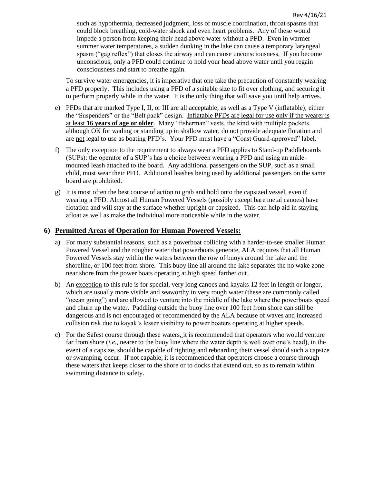such as hypothermia, decreased judgment, loss of muscle coordination, throat spasms that could block breathing, cold-water shock and even heart problems. Any of these would impede a person from keeping their head above water without a PFD. Even in warmer summer water temperatures, a sudden dunking in the lake can cause a temporary laryngeal spasm ("gag reflex") that closes the airway and can cause unconsciousness. If you become unconscious, only a PFD could continue to hold your head above water until you regain consciousness and start to breathe again.

To survive water emergencies, it is imperative that one take the precaution of constantly wearing a PFD properly. This includes using a PFD of a suitable size to fit over clothing, and securing it to perform properly while in the water. It is the only thing that will save you until help arrives.

- e) PFDs that are marked Type I, II, or III are all acceptable; as well as a Type V (inflatable), either the "Suspenders" or the "Belt pack" design. Inflatable PFDs are legal for use only if the wearer is at least **16 years of age or older**. Many "fisherman" vests, the kind with multiple pockets, although OK for wading or standing up in shallow water, do not provide adequate flotation and are not legal to use as boating PFD's. Your PFD must have a "Coast Guard-approved" label.
- f) The only exception to the requirement to always wear a PFD applies to Stand-up Paddleboards (SUPs): the operator of a SUP's has a choice between wearing a PFD and using an anklemounted leash attached to the board. Any additional passengers on the SUP, such as a small child, must wear their PFD. Additional leashes being used by additional passengers on the same board are prohibited.
- g) It is most often the best course of action to grab and hold onto the capsized vessel, even if wearing a PFD. Almost all Human Powered Vessels (possibly except bare metal canoes) have flotation and will stay at the surface whether upright or capsized. This can help aid in staying afloat as well as make the individual more noticeable while in the water.

#### **6) Permitted Areas of Operation for Human Powered Vessels:**

- a) For many substantial reasons, such as a powerboat colliding with a harder-to-see smaller Human Powered Vessel and the rougher water that powerboats generate, ALA requires that all Human Powered Vessels stay within the waters between the row of buoys around the lake and the shoreline, or 100 feet from shore. This buoy line all around the lake separates the no wake zone near shore from the power boats operating at high speed farther out.
- b) An exception to this rule is for special, very long canoes and kayaks 12 feet in length or longer, which are usually more visible and seaworthy in very rough water (these are commonly called "ocean going") and are allowed to venture into the middle of the lake where the powerboats speed and churn up the water. Paddling outside the buoy line over 100 feet from shore can still be dangerous and is not encouraged or recommended by the ALA because of waves and increased collision risk due to kayak's lesser visibility to power boaters operating at higher speeds.
- c) For the Safest course through these waters, it is recommended that operators who would venture far from shore (*i.e.*, nearer to the buoy line where the water depth is well over one's head), in the event of a capsize, should be capable of righting and reboarding their vessel should such a capsize or swamping, occur. If not capable, it is recommended that operators choose a course through these waters that keeps closer to the shore or to docks that extend out, so as to remain within swimming distance to safety.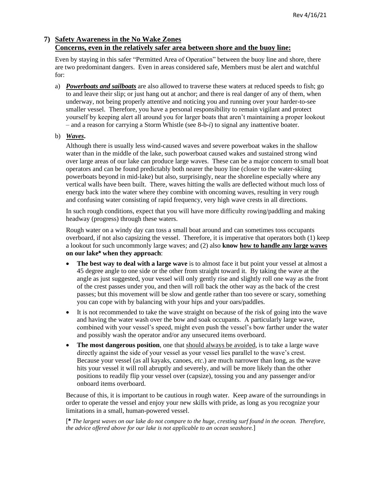# **7) Safety Awareness in the No Wake Zones Concerns, even in the relatively safer area between shore and the buoy line:**

Even by staying in this safer "Permitted Area of Operation" between the buoy line and shore, there are two predominant dangers. Even in areas considered safe, Members must be alert and watchful for:

a) *Powerboats and sailboats* are also allowed to traverse these waters at reduced speeds to fish; go to and leave their slip; or just hang out at anchor; and there is real danger of any of them, when underway, not being properly attentive and noticing you and running over your harder-to-see smaller vessel. Therefore, you have a personal responsibility to remain vigilant and protect yourself by keeping alert all around you for larger boats that aren't maintaining a proper lookout – and a reason for carrying a Storm Whistle (see 8-b-*i*) to signal any inattentive boater.

#### b) *Waves***.**

Although there is usually less wind-caused waves and severe powerboat wakes in the shallow water than in the middle of the lake, such powerboat caused wakes and sustained strong wind over large areas of our lake can produce large waves. These can be a major concern to small boat operators and can be found predictably both nearer the buoy line (closer to the water-skiing powerboats beyond in mid-lake) but also, surprisingly, near the shoreline especially where any vertical walls have been built. There, waves hitting the walls are deflected without much loss of energy back into the water where they combine with oncoming waves, resulting in very rough and confusing water consisting of rapid frequency, very high wave crests in all directions.

In such rough conditions, expect that you will have more difficulty rowing/paddling and making headway (progress) through these waters.

Rough water on a windy day can toss a small boat around and can sometimes toss occupants overboard, if not also capsizing the vessel. Therefore, it is imperative that operators both (1) keep a lookout for such uncommonly large waves; and (2) also **know how to handle any large waves on our lake\* when they approach**:

- **The best way to deal with a large wave** is to almost face it but point your vessel at almost a 45 degree angle to one side or the other from straight toward it. By taking the wave at the angle as just suggested, your vessel will only gently rise and slightly roll one way as the front of the crest passes under you, and then will roll back the other way as the back of the crest passes; but this movement will be slow and gentle rather than too severe or scary, something you can cope with by balancing with your hips and your oars/paddles.
- It is not recommended to take the wave straight on because of the risk of going into the wave and having the water wash over the bow and soak occupants. A particularly large wave, combined with your vessel's speed, might even push the vessel's bow farther under the water and possibly wash the operator and/or any unsecured items overboard.
- The most dangerous position, one that should always be avoided, is to take a large wave directly against the side of your vessel as your vessel lies parallel to the wave's crest. Because your vessel (as all kayaks, canoes, *etc*.) are much narrower than long, as the wave hits your vessel it will roll abruptly and severely, and will be more likely than the other positions to readily flip your vessel over (capsize), tossing you and any passenger and/or onboard items overboard.

Because of this, it is important to be cautious in rough water. Keep aware of the surroundings in order to operate the vessel and enjoy your new skills with pride, as long as you recognize your limitations in a small, human-powered vessel.

[**\*** *The largest waves on our lake do not compare to the huge, cresting surf found in the ocean. Therefore, the advice offered above for our lake is not applicable to an ocean seashore.*]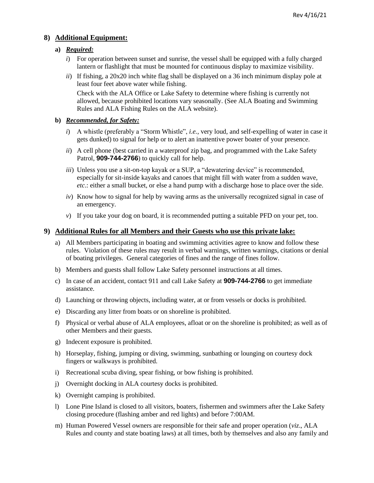#### **8) Additional Equipment:**

#### **a)** *Required:*

- *i*) For operation between sunset and sunrise, the vessel shall be equipped with a fully charged lantern or flashlight that must be mounted for continuous display to maximize visibility.
- *ii*) If fishing, a 20x20 inch white flag shall be displayed on a 36 inch minimum display pole at least four feet above water while fishing.

Check with the ALA Office or Lake Safety to determine where fishing is currently not allowed, because prohibited locations vary seasonally. (See ALA Boating and Swimming Rules and ALA Fishing Rules on the ALA website).

#### **b)** *Recommended, for Safety:*

- *i*) A whistle (preferably a "Storm Whistle", *i.e.*, very loud, and self-expelling of water in case it gets dunked) to signal for help or to alert an inattentive power boater of your presence.
- *ii*) A cell phone (best carried in a waterproof zip bag, and programmed with the Lake Safety Patrol, **909-744-2766**) to quickly call for help.
- *iii*) Unless you use a sit-on-top kayak or a SUP, a "dewatering device" is recommended, especially for sit-inside kayaks and canoes that might fill with water from a sudden wave, *etc*.: either a small bucket, or else a hand pump with a discharge hose to place over the side.
- *iv*) Know how to signal for help by waving arms as the universally recognized signal in case of an emergency.
- *v*) If you take your dog on board, it is recommended putting a suitable PFD on your pet, too.

#### **9) Additional Rules for all Members and their Guests who use this private lake:**

- a) All Members participating in boating and swimming activities agree to know and follow these rules. Violation of these rules may result in verbal warnings, written warnings, citations or denial of boating privileges. General categories of fines and the range of fines follow.
- b) Members and guests shall follow Lake Safety personnel instructions at all times.
- c) In case of an accident, contact 911 and call Lake Safety at **909-744-2766** to get immediate assistance.
- d) Launching or throwing objects, including water, at or from vessels or docks is prohibited.
- e) Discarding any litter from boats or on shoreline is prohibited.
- f) Physical or verbal abuse of ALA employees, afloat or on the shoreline is prohibited; as well as of other Members and their guests.
- g) Indecent exposure is prohibited.
- h) Horseplay, fishing, jumping or diving, swimming, sunbathing or lounging on courtesy dock fingers or walkways is prohibited.
- i) Recreational scuba diving, spear fishing, or bow fishing is prohibited.
- j) Overnight docking in ALA courtesy docks is prohibited.
- k) Overnight camping is prohibited.
- l) Lone Pine Island is closed to all visitors, boaters, fishermen and swimmers after the Lake Safety closing procedure (flashing amber and red lights) and before 7:00AM.
- m) Human Powered Vessel owners are responsible for their safe and proper operation (*viz*., ALA Rules and county and state boating laws) at all times, both by themselves and also any family and